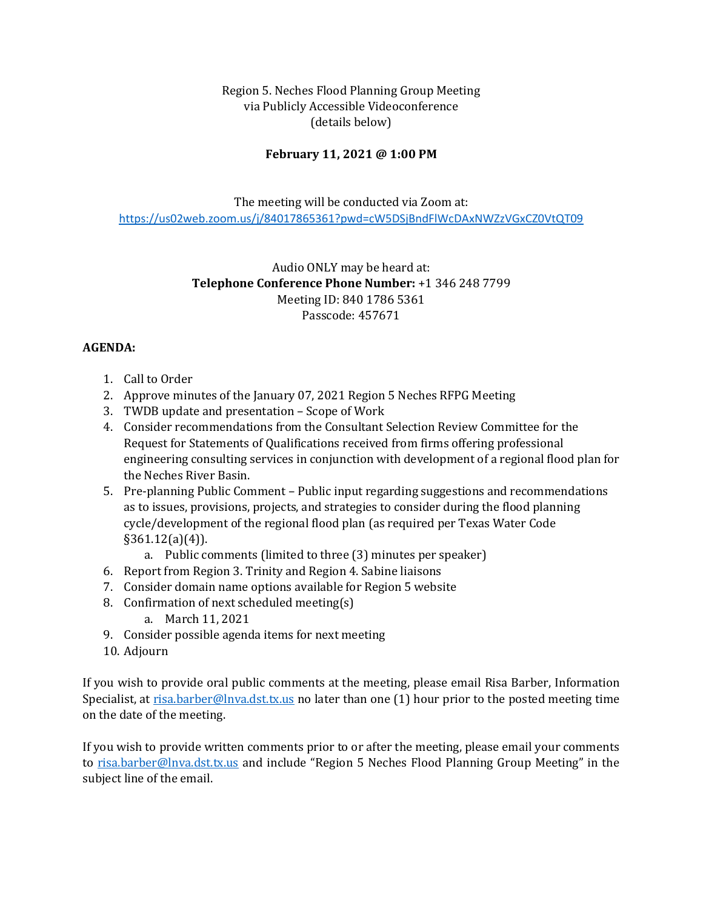Region 5. Neches Flood Planning Group Meeting via Publicly Accessible Videoconference (details below)

## **February 11, 2021 @ 1:00 PM**

The meeting will be conducted via Zoom at: <https://us02web.zoom.us/j/84017865361?pwd=cW5DSjBndFlWcDAxNWZzVGxCZ0VtQT09>

> Audio ONLY may be heard at: **Telephone Conference Phone Number:** +1 346 248 7799 Meeting ID: 840 1786 5361 Passcode: 457671

## **AGENDA:**

- 1. Call to Order
- 2. Approve minutes of the January 07, 2021 Region 5 Neches RFPG Meeting
- 3. TWDB update and presentation Scope of Work
- 4. Consider recommendations from the Consultant Selection Review Committee for the Request for Statements of Qualifications received from firms offering professional engineering consulting services in conjunction with development of a regional flood plan for the Neches River Basin.
- 5. Pre-planning Public Comment Public input regarding suggestions and recommendations as to issues, provisions, projects, and strategies to consider during the flood planning cycle/development of the regional flood plan (as required per Texas Water Code §361.12(a)(4)).
	- a. Public comments (limited to three (3) minutes per speaker)
- 6. Report from Region 3. Trinity and Region 4. Sabine liaisons
- 7. Consider domain name options available for Region 5 website
- 8. Confirmation of next scheduled meeting(s)
	- a. March 11, 2021
- 9. Consider possible agenda items for next meeting
- 10. Adjourn

If you wish to provide oral public comments at the meeting, please email Risa Barber, Information Specialist, at <u>risa.barber@lnva.dst.tx.us</u> no later than one (1) hour prior to the posted meeting time on the date of the meeting.

If you wish to provide written comments prior to or after the meeting, please email your comments to [risa.barber@lnva.dst.tx.us](mailto:risa.barber@lnva.dst.tx.us) and include "Region 5 Neches Flood Planning Group Meeting" in the subject line of the email.